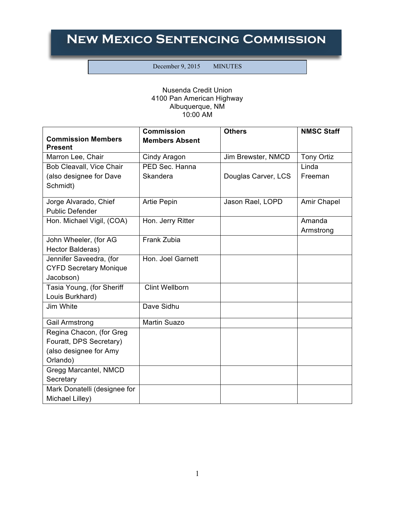## **New Mexico Sentencing Commission**

December 9, 2015 MINUTES

## Nusenda Credit Union 4100 Pan American Highway Albuquerque, NM 10:00 AM

|                                             | <b>Commission</b>     | <b>Others</b>       | <b>NMSC Staff</b>  |
|---------------------------------------------|-----------------------|---------------------|--------------------|
| <b>Commission Members</b><br><b>Present</b> | <b>Members Absent</b> |                     |                    |
| Marron Lee, Chair                           | Cindy Aragon          | Jim Brewster, NMCD  | <b>Tony Ortiz</b>  |
| Bob Cleavall, Vice Chair                    | PED Sec. Hanna        |                     | Linda              |
| (also designee for Dave                     | Skandera              | Douglas Carver, LCS | Freeman            |
| Schmidt)                                    |                       |                     |                    |
| Jorge Alvarado, Chief                       | <b>Artie Pepin</b>    | Jason Rael, LOPD    | <b>Amir Chapel</b> |
| <b>Public Defender</b>                      |                       |                     |                    |
| Hon. Michael Vigil, (COA)                   | Hon. Jerry Ritter     |                     | Amanda             |
|                                             |                       |                     | Armstrong          |
| John Wheeler, (for AG                       | Frank Zubia           |                     |                    |
| Hector Balderas)                            |                       |                     |                    |
| Jennifer Saveedra, (for                     | Hon. Joel Garnett     |                     |                    |
| <b>CYFD Secretary Monique</b>               |                       |                     |                    |
| Jacobson)                                   |                       |                     |                    |
| Tasia Young, (for Sheriff                   | <b>Clint Wellborn</b> |                     |                    |
| Louis Burkhard)                             |                       |                     |                    |
| Jim White                                   | Dave Sidhu            |                     |                    |
| Gail Armstrong                              | <b>Martin Suazo</b>   |                     |                    |
| Regina Chacon, (for Greg                    |                       |                     |                    |
| Fouratt, DPS Secretary)                     |                       |                     |                    |
| (also designee for Amy                      |                       |                     |                    |
| Orlando)                                    |                       |                     |                    |
| Gregg Marcantel, NMCD                       |                       |                     |                    |
| Secretary                                   |                       |                     |                    |
| Mark Donatelli (designee for                |                       |                     |                    |
| Michael Lilley)                             |                       |                     |                    |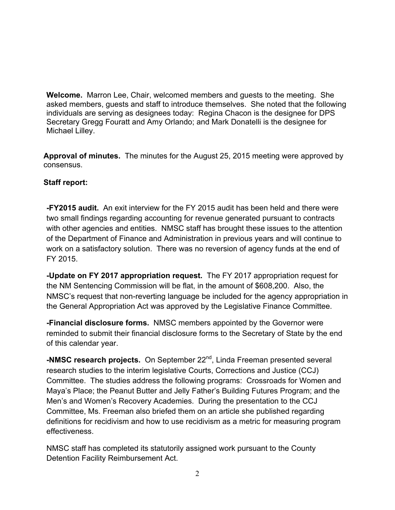**Welcome.** Marron Lee, Chair, welcomed members and guests to the meeting. She asked members, guests and staff to introduce themselves. She noted that the following individuals are serving as designees today: Regina Chacon is the designee for DPS Secretary Gregg Fouratt and Amy Orlando; and Mark Donatelli is the designee for Michael Lilley.

**Approval of minutes.** The minutes for the August 25, 2015 meeting were approved by consensus.

## **Staff report:**

**-FY2015 audit.** An exit interview for the FY 2015 audit has been held and there were two small findings regarding accounting for revenue generated pursuant to contracts with other agencies and entities. NMSC staff has brought these issues to the attention of the Department of Finance and Administration in previous years and will continue to work on a satisfactory solution. There was no reversion of agency funds at the end of FY 2015.

**-Update on FY 2017 appropriation request.** The FY 2017 appropriation request for the NM Sentencing Commission will be flat, in the amount of \$608,200. Also, the NMSC's request that non-reverting language be included for the agency appropriation in the General Appropriation Act was approved by the Legislative Finance Committee.

**-Financial disclosure forms.** NMSC members appointed by the Governor were reminded to submit their financial disclosure forms to the Secretary of State by the end of this calendar year.

**-NMSC research projects.** On September 22<sup>nd</sup>, Linda Freeman presented several research studies to the interim legislative Courts, Corrections and Justice (CCJ) Committee. The studies address the following programs: Crossroads for Women and Maya's Place; the Peanut Butter and Jelly Father's Building Futures Program; and the Men's and Women's Recovery Academies. During the presentation to the CCJ Committee, Ms. Freeman also briefed them on an article she published regarding definitions for recidivism and how to use recidivism as a metric for measuring program effectiveness.

NMSC staff has completed its statutorily assigned work pursuant to the County Detention Facility Reimbursement Act.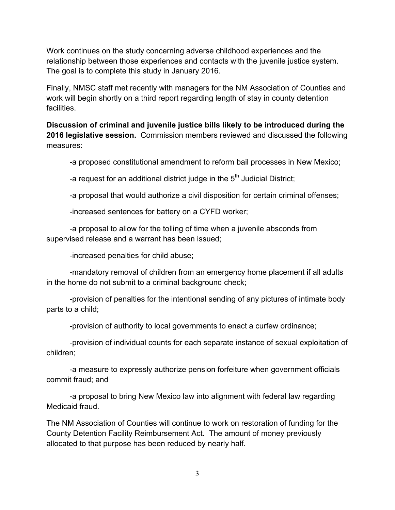Work continues on the study concerning adverse childhood experiences and the relationship between those experiences and contacts with the juvenile justice system. The goal is to complete this study in January 2016.

Finally, NMSC staff met recently with managers for the NM Association of Counties and work will begin shortly on a third report regarding length of stay in county detention facilities.

**Discussion of criminal and juvenile justice bills likely to be introduced during the 2016 legislative session.** Commission members reviewed and discussed the following measures:

-a proposed constitutional amendment to reform bail processes in New Mexico;

-a request for an additional district judge in the  $5<sup>th</sup>$  Judicial District:

-a proposal that would authorize a civil disposition for certain criminal offenses;

-increased sentences for battery on a CYFD worker;

-a proposal to allow for the tolling of time when a juvenile absconds from supervised release and a warrant has been issued;

-increased penalties for child abuse;

-mandatory removal of children from an emergency home placement if all adults in the home do not submit to a criminal background check;

-provision of penalties for the intentional sending of any pictures of intimate body parts to a child;

-provision of authority to local governments to enact a curfew ordinance;

-provision of individual counts for each separate instance of sexual exploitation of children;

-a measure to expressly authorize pension forfeiture when government officials commit fraud; and

-a proposal to bring New Mexico law into alignment with federal law regarding Medicaid fraud.

The NM Association of Counties will continue to work on restoration of funding for the County Detention Facility Reimbursement Act. The amount of money previously allocated to that purpose has been reduced by nearly half.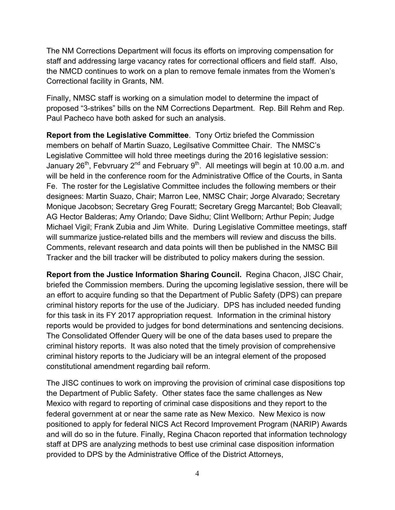The NM Corrections Department will focus its efforts on improving compensation for staff and addressing large vacancy rates for correctional officers and field staff. Also, the NMCD continues to work on a plan to remove female inmates from the Women's Correctional facility in Grants, NM.

Finally, NMSC staff is working on a simulation model to determine the impact of proposed "3-strikes" bills on the NM Corrections Department. Rep. Bill Rehm and Rep. Paul Pacheco have both asked for such an analysis.

**Report from the Legislative Committee**. Tony Ortiz briefed the Commission members on behalf of Martin Suazo, Legilsative Committee Chair. The NMSC's Legislative Committee will hold three meetings during the 2016 legislative session: January  $26^{th}$ , Febvruary  $2^{nd}$  and February  $9^{th}$ . All meetings will begin at 10.00 a.m. and will be held in the conference room for the Administrative Office of the Courts, in Santa Fe. The roster for the Legislative Committee includes the following members or their designees: Martin Suazo, Chair; Marron Lee, NMSC Chair; Jorge Alvarado; Secretary Monique Jacobson; Secretary Greg Fouratt; Secretary Gregg Marcantel; Bob Cleavall; AG Hector Balderas; Amy Orlando; Dave Sidhu; Clint Wellborn; Arthur Pepin; Judge Michael Vigil; Frank Zubia and Jim White. During Legislative Committee meetings, staff will summarize justice-related bills and the members will review and discuss the bills. Comments, relevant research and data points will then be published in the NMSC Bill Tracker and the bill tracker will be distributed to policy makers during the session.

**Report from the Justice Information Sharing Council.** Regina Chacon, JISC Chair, briefed the Commission members. During the upcoming legislative session, there will be an effort to acquire funding so that the Department of Public Safety (DPS) can prepare criminal history reports for the use of the Judiciary. DPS has included needed funding for this task in its FY 2017 appropriation request. Information in the criminal history reports would be provided to judges for bond determinations and sentencing decisions. The Consolidated Offender Query will be one of the data bases used to prepare the criminal history reports. It was also noted that the timely provision of comprehensive criminal history reports to the Judiciary will be an integral element of the proposed constitutional amendment regarding bail reform.

The JISC continues to work on improving the provision of criminal case dispositions top the Department of Public Safety. Other states face the same challenges as New Mexico with regard to reporting of criminal case dispositions and they report to the federal government at or near the same rate as New Mexico. New Mexico is now positioned to apply for federal NICS Act Record Improvement Program (NARIP) Awards and will do so in the future. Finally, Regina Chacon reported that information technology staff at DPS are analyzing methods to best use criminal case disposition information provided to DPS by the Administrative Office of the District Attorneys,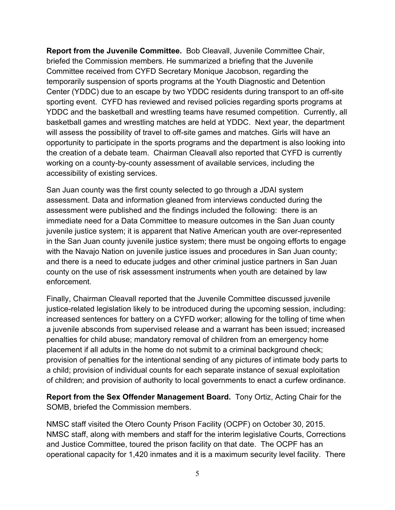**Report from the Juvenile Committee.** Bob Cleavall, Juvenile Committee Chair, briefed the Commission members. He summarized a briefing that the Juvenile Committee received from CYFD Secretary Monique Jacobson, regarding the temporarily suspension of sports programs at the Youth Diagnostic and Detention Center (YDDC) due to an escape by two YDDC residents during transport to an off-site sporting event. CYFD has reviewed and revised policies regarding sports programs at YDDC and the basketball and wrestling teams have resumed competition. Currently, all basketball games and wrestling matches are held at YDDC. Next year, the department will assess the possibility of travel to off-site games and matches. Girls will have an opportunity to participate in the sports programs and the department is also looking into the creation of a debate team. Chairman Cleavall also reported that CYFD is currently working on a county-by-county assessment of available services, including the accessibility of existing services.

San Juan county was the first county selected to go through a JDAI system assessment. Data and information gleaned from interviews conducted during the assessment were published and the findings included the following: there is an immediate need for a Data Committee to measure outcomes in the San Juan county juvenile justice system; it is apparent that Native American youth are over-represented in the San Juan county juvenile justice system; there must be ongoing efforts to engage with the Navajo Nation on juvenile justice issues and procedures in San Juan county; and there is a need to educate judges and other criminal justice partners in San Juan county on the use of risk assessment instruments when youth are detained by law enforcement.

Finally, Chairman Cleavall reported that the Juvenile Committee discussed juvenile justice-related legislation likely to be introduced during the upcoming session, including: increased sentences for battery on a CYFD worker; allowing for the tolling of time when a juvenile absconds from supervised release and a warrant has been issued; increased penalties for child abuse; mandatory removal of children from an emergency home placement if all adults in the home do not submit to a criminal background check; provision of penalties for the intentional sending of any pictures of intimate body parts to a child; provision of individual counts for each separate instance of sexual exploitation of children; and provision of authority to local governments to enact a curfew ordinance.

**Report from the Sex Offender Management Board.** Tony Ortiz, Acting Chair for the SOMB, briefed the Commission members.

NMSC staff visited the Otero County Prison Facility (OCPF) on October 30, 2015. NMSC staff, along with members and staff for the interim legislative Courts, Corrections and Justice Committee, toured the prison facility on that date. The OCPF has an operational capacity for 1,420 inmates and it is a maximum security level facility. There